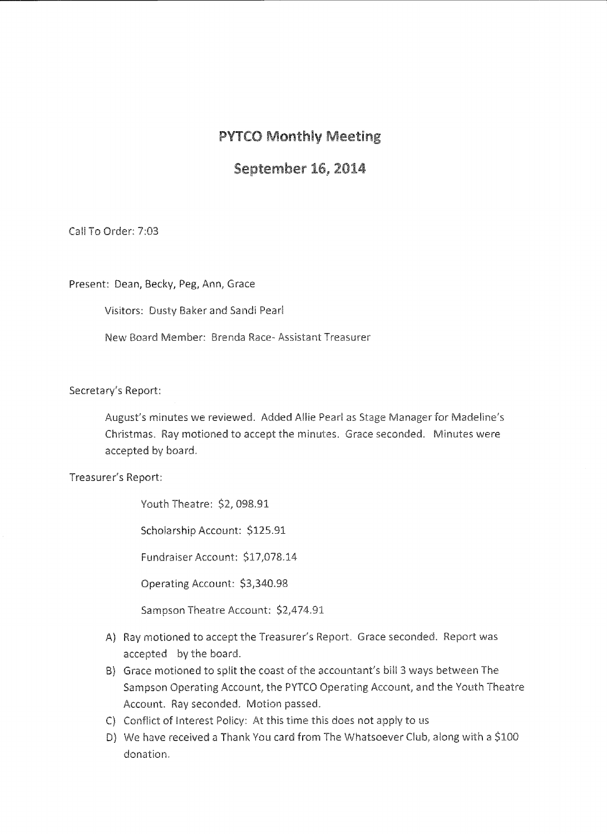## PVTCO Monthly Meeting

## September 16, 2014

Call To Order: 7:03

Present: Dean, Becky, Peg, Ann, Grace

Visitors: Dusty Baker and Sandi Pearl

New Board Member: Brenda Race-Assistant Treasurer

Secretary's Report:

August's minutes we reviewed. Added Allie Pearl as Stage Manager for Madeline's Christmas. Ray motioned to accept the minutes. Grace seconded. Minutes were accepted by board.

Treasurer's Report:

Youth Theatre: \$2, 098.91

Scholarship Account: \$125.91

Fundraiser Account: \$17,078.14

Operating Account: \$3,340.98

Sampson Theatre Account: \$2,474.91

- A) Ray motioned to accept the Treasurer's Report. Grace seconded. Report was accepted by the board.
- B) Grace motioned to split the coast of the accountant's bill 3 ways between The Sampson Operating Account, the PYTCO Operating Account, and the Youth Theatre Account. Ray seconded. Motion passed.
- C) Conflict of Interest Policy: At this time this does not apply to us
- D) We have received a Thank You card from The Whatsoever Club, along with a \$100 donation.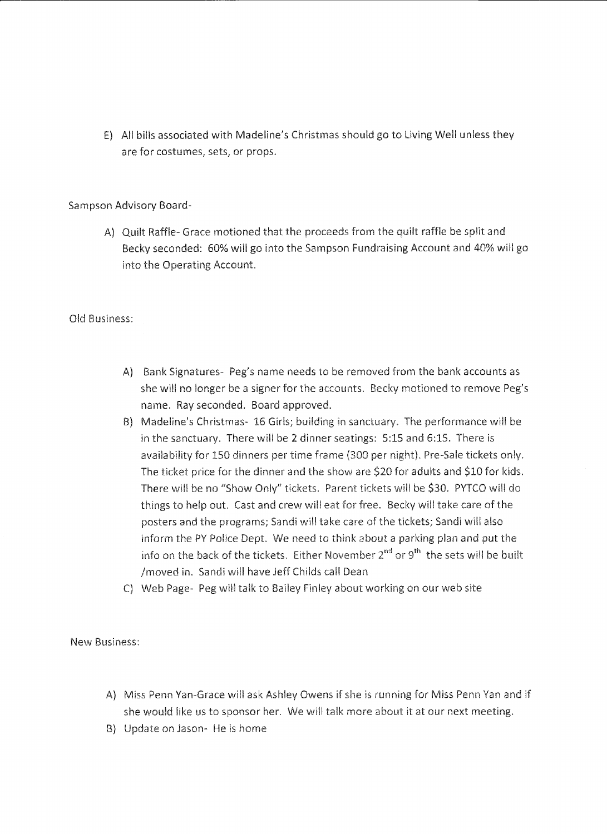E) Al! bills associated with Madeline's Christmas should go to Living Well unless they are for costumes, sets, or props.

Sampson Advisory Board-

A) Quilt Raffle- Grace motioned that the proceeds from the quilt raffle be split and Becky seconded: 60% will go into the Sampson Fundraising Account and 40% will go into the Operating Account.

Old Business:

- A} Bank Signatures- Peg's name needs to be removed from the bank accounts as she will no longer be a signer for the accounts. Becky motioned to remove Peg's name. Ray seconded. Board approved.
- B) Madeline's Christmas- 16 Girls; building in sanctuary. The performance will be in the sanctuary. There will be 2 dinner seatings: 5:15 and 6:15. There is availability for 150 dinners per time frame (300 per night). Pre-Sale tickets only. The ticket price for the dinner and the show are \$20 for adults and \$10 for kids. There will be no "Show Only" tickets. Parent tickets will be \$30. PYTCO will do things to help out. Cast and crew will eat for free. Becky will take care of the posters and the programs; Sandi will take care of the tickets; Sandi will also inform the PY Police Dept. We need to think about a parking plan and put the info on the back of the tickets. Either November  $2^{nd}$  or  $9^{th}$  the sets will be built /moved in. Sandi will have Jeff Childs call Dean
- C) Web Page- Peg will talk to Bailey Finley about working on our web site

New Business:

- A) Miss Penn Yan-Grace will ask Ashley Owens if she is running for Miss Penn Yan and if she would like us to sponsor her. We will talk more about it at our next meeting.
- B} Update on Jason- He is home